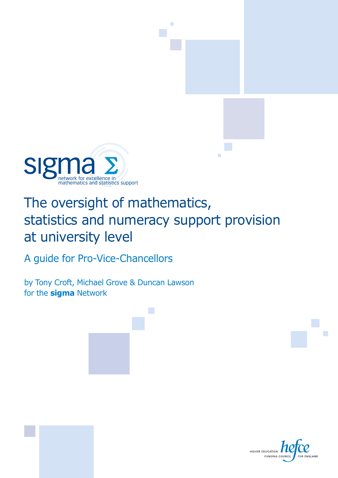

### The oversight of mathematics, statistics and numeracy support provision at university level

A guide for Pro-Vice-Chancellors

by Tony Croft, Michael Grove & Duncan Lawson for the **sigma** Network

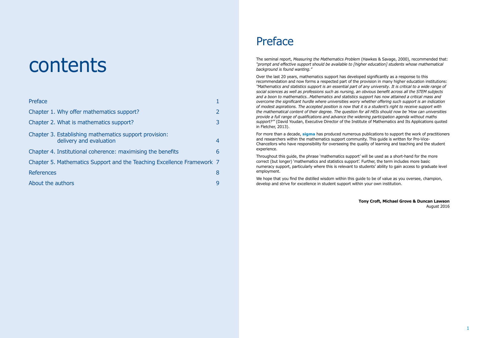# contents

| Preface                                                                           |                |
|-----------------------------------------------------------------------------------|----------------|
| Chapter 1. Why offer mathematics support?                                         |                |
| Chapter 2. What is mathematics support?                                           | 3              |
| Chapter 3. Establishing mathematics support provision:<br>delivery and evaluation | $\overline{4}$ |
| Chapter 4. Institutional coherence: maximising the benefits                       | 6              |
| Chapter 5. Mathematics Support and the Teaching Excellence Framework 7            |                |
| <b>References</b>                                                                 | 8              |
| About the authors                                                                 | 9              |
|                                                                                   |                |

### Preface

The seminal report, *Measuring the Mathematics Problem* (Hawkes & Savage, 2000), recommended that: *"prompt and effective support should be available to [higher education] students whose mathematical background is found wanting."*

Over the last 20 years, mathematics support has developed significantly as a response to this recommendation and now forms a respected part of the provision in many higher education institutions: *"Mathematics and statistics support is an essential part of any university. It is critical to a wide range of social sciences as well as professions such as nursing, an obvious benefit across all the STEM subjects and a boon to mathematics…Mathematics and statistics support has now attained a critical mass and overcome the significant hurdle where universities worry whether offering such support is an indication of modest aspirations. The accepted position is now that it is a student's right to receive support with the mathematical content of their degree. The question for all HEIs should now be 'How can universities provide a full range of qualifications and advance the widening participation agenda without maths support?'"* (David Youdan, Executive Director of the Institute of Mathematics and Its Applications quoted in Fletcher, 2013).

We hope that you find the distilled wisdom within this quide to be of value as you oversee, champion, develop and strive for excellence in student support within your own institution.

For more than a decade, **sigma** has produced numerous publications to support the work of practitioners and researchers within the mathematics support community. This guide is written for Pro-Vice-Chancellors who have responsibility for overseeing the quality of learning and teaching and the student experience.

Throughout this guide, the phrase 'mathematics support' will be used as a short-hand for the more correct (but longer) 'mathematics and statistics support'. Further, the term includes more basic numeracy support, particularly where this is relevant to students' ability to gain access to graduate level employment.

> **Tony Croft, Michael Grove & Duncan Lawson** August 2016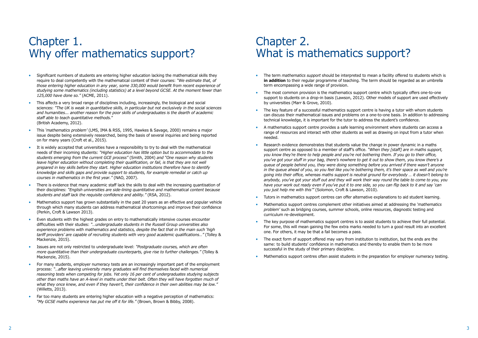# <span id="page-2-0"></span>Chapter 1. Why offer mathematics support?

### Chapter 2. What is mathematics support?

- Significant numbers of students are entering higher education lacking the mathematical skills they require to deal competently with the mathematical content of their courses: *"We estimate that, of those entering higher education in any year, some 330,000 would benefit from recent experience of studying some mathematics (including statistics) at a level beyond GCSE. At the moment fewer than 125,000 have done so."* (ACME, 2011).
- This affects a very broad range of disciplines including, increasingly, the biological and social sciences: *"The UK is weak in quantitative skills, in particular but not exclusively in the social sciences and humanities... another reason for the poor skills of undergraduates is the dearth of academic staff able to teach quantitative methods.*" (British Academy, 2012).
- This *'mathematics problem'* (LMS, IMA & RSS, 1995, Hawkes & Savage, 2000) remains a major issue despite being extensively researched, being the basis of several inquiries and being reported on for many years (Croft et al., 2015).
- It is widely accepted that universities have a responsibility to try to deal with the mathematical needs of their incoming students: *"Higher education has little option but to accommodate to the students emerging from the current GCE process"* (Smith, 2004) *and "One reason why students*  leave higher education without completing their qualification, or fail, is that they are not well *prepared in key skills before they start. Higher education institutions therefore have to identify knowledge and skills gaps and provide support to students, for example remedial or catch up courses in mathematics in the first year."* (NAO, 2007).
- There is evidence that many academic staff lack the skills to deal with the increasing quantisation of their disciplines: *"English universities are side-lining quantitative and mathematical content because students and staff lack the requisite confidence and ability."* (RSA, 2012).
- Mathematics support has grown substantially in the past 20 years as an effective and popular vehicle through which many students can address mathematical shortcomings and improve their confidence (Perkin, Croft & Lawson 2013).
- Even students with the highest grades on entry to mathematically intensive courses encounter difficulties with their studies: *"…undergraduate students in the Russell Group universities also experience problems with mathematics and statistics, despite the fact that in the main such 'high tariff providers' are capable of recruiting students with very good academic qualifications…"* (Tolley & Mackenzie, 2015).
- Issues are not only restricted to undergraduate level: *"Postgraduate courses, which are often more quantitative than their undergraduate counterparts, give rise to further challenges."* (Tolley & Mackenzie, 2015).
- For many students, employer numeracy tests are an increasingly important part of the employment process: *"…after leaving university many graduates will find themselves faced with numerical reasoning tests when competing for jobs. Yet only 16 per cent of undergraduates studying subjects other than maths have an A-level in maths under their belt. Often they will have forgotten much of what they once knew, and even if they haven't, their confidence in their own abilities may be low."* (Willetts, 2013).
- Far too many students are entering higher education with a negative perception of mathematics: *"My GCSE maths experience has put me off it for life."* (Brown, Brown & Bibby, 2008).
- The term *mathematics support* should be interpreted to mean a facility offered to students which is **in addition** to their regular programme of teaching. The term should be regarded as an umbrella term encompassing a wide range of provision.
- The most common provision is the mathematics support centre which typically offers one-to-one support to students on a drop-in basis (Lawson, 2012). Other models of support are used effectively by universities (Marr & Grove, 2010).
- The key feature of a successful mathematics support centre is having a tutor with whom students can discuss their mathematical issues and problems on a one-to-one basis. In addition to addressing technical knowledge, it is important for the tutor to address the student's confidence.
- A mathematics support centre provides a safe learning environment where students can access a range of resources and interact with other students as well as drawing on input from a tutor when needed.
- Research evidence demonstrates that students value the change in power dynamic in a maths support centre as opposed to a member of staff's office. *"When they [staff] are in maths support, you know they're there to help people and you're not bothering them. If you go to their office, you've got your stuff in your bag, there's nowhere to get it out to show them, you know there's a queue of people behind you, they were doing something before you arrived if there wasn't anyone in the queue ahead of you, so you feel like you're bothering them, it's their space as well and you're going into their office, whereas maths support is neutral ground for everybody … it doesn't belong to anybody, you've got your stuff out and they will work their way round the table to come to you, you have your work out ready even if you've put it to one side, so you can flip back to it and say 'can you just help me with this'"* (Solomon, Croft & Lawson, 2010).
- Tutors in mathematics support centres can offer alternative explanations to aid student learning.
- Mathematics support centres complement other initiatives aimed at addressing the *'mathematics problem'* such as bridging courses, summer schools, online resources, diagnostic testing and curriculum re-development.
- The key purpose of mathematics support centres is to assist students to achieve their full potential. For some, this will mean gaining the few extra marks needed to turn a good result into an excellent one. For others, it may be that a fail becomes a pass.
- The exact form of support offered may vary from institution to institution, but the ends are the same: to build students' confidence in mathematics and thereby to enable them to be more successful in the study of their primary discipline.
- Mathematics support centres often assist students in the preparation for employer numeracy testing.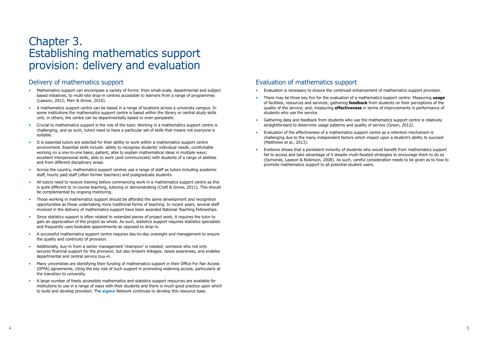### <span id="page-3-0"></span>Chapter 3. Establishing mathematics support provision: delivery and evaluation

### Delivery of mathematics support

- Mathematics support can encompass a variety of forms: from small-scale, departmental and subject based initiatives, to multi-site drop-in centres accessible to learners from a range of programmes (Lawson, 2012; Marr & Grove, 2010).
- A mathematics support centre can be based in a range of locations across a university campus. In some institutions the mathematics support centre is based within the library or central study skills unit; in others, the centre can be departmentally based or even peripatetic.
- Crucial to mathematics support is the role of the tutor. Working in a mathematics support centre is challenging, and as such, tutors need to have a particular set of skills that means not everyone is suitable.
- It is essential tutors are selected for their ability to work within a mathematics support centre environment. Essential skills include: ability to recognise students' individual needs; comfortable working on a one-to-one basis; patient; able to explain mathematical ideas in multiple ways; excellent interpersonal skills; able to work (and communicate) with students of a range of abilities and from different disciplinary areas.
- Across the country, mathematics support centres use a range of staff as tutors including academic staff, hourly paid staff (often former teachers) and postgraduate students.
- All tutors need to receive training before commencing work in a mathematics support centre as this is quite different to in-course teaching, tutoring or demonstrating (Croft & Grove, 2011). This should be complemented by ongoing mentoring.
- Those working in mathematics support should be afforded the same development and recognition opportunities as those undertaking more traditional forms of teaching. In recent years, several staff involved in the delivery of mathematics support have been awarded National Teaching Fellowships.
- Since statistics support is often related to extended pieces of project work, it requires the tutor to gain an appreciation of the project as whole. As such, statistics support requires statistics specialists and frequently uses bookable appointments as opposed to drop-in.
- A successful mathematics support centre requires day-to-day oversight and management to ensure the quality and continuity of provision.
- Additionally, buy-in from a senior management 'champion' is needed; someone who not only secures financial support for the provision, but also brokers linkages, raises awareness, and enables departmental and central service buy-in.
- Many universities are identifying their funding of mathematics support in their Office For Fair Access (OFFA) agreements, citing the key role of such support in promoting widening access, particularly at the transition to university.
- A large number of freely accessible mathematics and statistics support resources are available for institutions to use in a range of ways with their students and there is much good practice upon which to build and develop provision. The **sigma** Network continues to develop this resource base.

### Evaluation of mathematics support

- Evaluation is necessary to ensure the continued enhancement of mathematics support provision.
- There may be three key foci for the evaluation of a mathematics support centre: Measuring **usage** of facilities, resources and services; gathering **feedback** from students on their perceptions of the quality of the service; and, measuring **effectiveness** in terms of improvements in performance of students who use the service.
- Gathering data and feedback from students who use the mathematics support centre is relatively straightforward to determine usage patterns and quality of service (Green, 2012).
- Evaluation of the *effectiveness* of a mathematics support centre as a retention mechanism is challenging due to the many independent factors which impact upon a student's ability to succeed (Matthews et al., 2013).
- Evidence shows that a persistent minority of students who would benefit from mathematics support fail to access and take advantage of it despite multi-faceted strategies to encourage them to do so (Symonds, Lawson & Robinson, 2008). As such, careful consideration needs to be given as to how to promote mathematics support to all potential student users.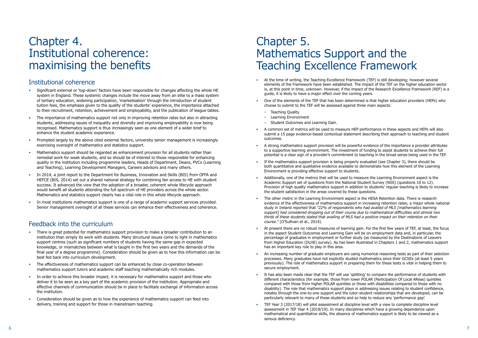### <span id="page-4-0"></span>Chapter 4. Institutional coherence: maximising the benefits

### Institutional coherence

- Significant external or 'top-down' factors have been responsible for changes affecting the whole HE system in England. These systemic changes include the move away from an elite to a mass system of tertiary education, widening participation, 'marketisation' through the introduction of student tuition fees, the emphasis given to the quality of the students' experience, the importance attached to their recruitment, retention, achievement and employability, and the publication of league tables.
- The importance of mathematics support not only in improving retention rates but also in attracting students, addressing issues of inequality and diversity and improving employability is now being recognised. Mathematics support is thus increasingly seen as one element of a wider brief to enhance the student academic experience.
- Prompted largely by the above cited external factors, university senior management is increasingly exercising oversight of mathematics and statistics support.
- Mathematics support should be regarded as enhancement provision for all students rather than remedial work for weak students, and so should be of interest to those responsible for enhancing quality in the institution including programme leaders, Heads of Department, Deans, PVCs (Learning and Teaching), Learning Development Managers, Careers advisors and many others.
- In 2014, a joint report to the Department for Business, Innovation and Skills (BIS) from OFFA and HEFCE (BIS, 2014) set out a shared national strategy for combining fair access to HE with student success. It advanced the view that the adoption of a broader, coherent whole lifecycle approach would benefit all students attending the full spectrum of HE providers across the whole sector. Mathematics and statistics support clearly has a vital role in this whole lifecycle approach.
- In most institutions mathematics support is one of a range of academic support services provided. Senior management oversight of all these services can enhance their effectiveness and coherence.

- There is great potential for mathematics support provision to make a broader contribution to an institution than simply its work with students. Many structural issues come to light in mathematics support centres (such as significant numbers of students having the same gap in expected knowledge, or mismatches between what is taught in the first two years and the demands of the final year of a degree programme). Consideration should be given as to how this information can be best fed back into curriculum development.
- The effectiveness of mathematics support can be enhanced by close co-operation between mathematics support tutors and academic staff teaching mathematically rich modules.
- In order to achieve this broader impact, it is necessary for mathematics support and those who deliver it to be seen as a key part of the academic provision of the institution. Appropriate and effective channels of communication should be in place to facilitate exchange of information across the institution.
- Consideration should be given as to how the experience of mathematics support can feed into delivery, training and support for those in mainstream teaching.

### Feedback into the curriculum

### Chapter 5. Mathematics Support and the Teaching Excellence Framework

- At the time of writing, the Teaching Excellence Framework (TEF) is still developing; however several elements of the Framework have been established. The impact of the TEF on the higher education sector is, at this point in time, unknown. However, if the impact of the Research Excellence Framework (REF) is a guide, it is likely to have a major effect over the coming years.
- One of the elements of the TEF that has been determined is that higher education providers (HEPs) who choose to submit to the TEF will be assessed against three main aspects:
	- Teaching Quality
	- Learning Environment
	- Student Outcomes and Learning Gain.
- A common set of metrics will be used to measure HEP performance in these aspects and HEPs will also submit a 15 page evidence-based contextual statement describing their approach to teaching and student outcomes.
- A strong mathematics support provision will be powerful evidence of the importance a provider attributes to a supportive learning environment. The investment of funding to assist students to achieve their full potential is a clear sign of a provider's commitment to teaching in the broad sense being used in the TEF.
- If the mathematics support provision is being properly evaluated (see Chapter 3), there should be both quantitative and qualitative evidence available to demonstrate how this element of the Learning Environment is providing effective support to students.
- Additionally, one of the metrics that will be used to measure the Learning Environment aspect is the Academic Support set of questions from the National Student Survey (NSS) (questions 10 to 12). Provision of high quality mathematics support in addition to students' regular teaching is likely to increase the student satisfaction in the areas covered by these questions.
- The other metric in the Learning Environment aspect is the HESA Retention data. There is research evidence of the effectiveness of mathematics support in increasing retention rates; a major whole national study in Ireland reported that *"22% of respondents who had availed of MLS [mathematics learning support] had considered dropping out of their course due to mathematical difficulties and almost two thirds of these students stated that availing of MLS had a positive impact on their retention on their course."* (O'Sullivan et al., 2014).
- At present there are no robust measures of learning gain. For the first few years of TEF, at least, the focus in the aspect Student Outcomes and Learning Gain will be on employment data and, in particular, the percentage of graduates in employment or further study (as measured by the Destinations of Leavers from Higher Education (DLHE) survey). As has been illustrated in Chapters 1 and 2, mathematics support has an important key role to play in this area.
- An increasing number of graduate employers are using numerical reasoning tests as part of their selection processes. Many graduates have not explicitly studied mathematics since their GCSEs (at least 5 years previously). The role of mathematics support in preparing them for these tests is vital in helping them to secure employment.
- It has also been made clear that the TEF will use 'splitting' to compare the performance of students with different characteristics (for example, those from lower POLAR (Participation Of Local AReas) quintiles compared with those from higher POLAR quintiles or those with disabilities compared to those with no disability). The role that mathematics support plays in addressing issues relating to student confidence, notably through the one-to-one support and the tutor-student relationships that are developed, can be particularly relevant to many of these students and so help to reduce any 'performance gap'.
- TEF Year 3 (2017/18) will pilot assessment at discipline level with a view to complete discipline level assessment in TEF Year 4 (2018/19). In many disciplines which have a growing dependence upon mathematical and quantitative skills, the absence of mathematics support is likely to be viewed as a serious deficiency.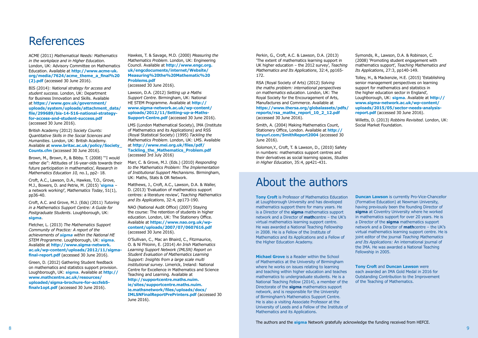# <span id="page-5-0"></span>References

ACME (2011) *Mathematical Needs: Mathematics in the workplace and in Higher Education*. London, UK: Advisory Committee on Mathematics Education. Available at **http://www.acme-uk. org/media/7624/acme\_theme\_a\_final%20 (2).pdf** (accessed 30 June 2016).

BIS (2014): *National strategy for access and student success.* London, UK: Department for Business Innovation and Skills. Available at **https://www.gov.uk/government/ uploads/system/uploads/attachment\_data/ file/299689/bis-14-516-national-strategyfor-access-and-student-success.pdf** (accessed 30 June 2016).

British Academy (2012) *Society Counts: Quantitative Skills in the Social Sciences and Humanities*. London, UK: British Academy. Available at **www.britac.ac.uk/policy/Society\_ Counts.cfm** (accessed 30 June 2016).

Brown, M., Brown, P., & Bibby. T. (2008) '''I would rather die'': Attitudes of 16-year-olds towards their future participation in mathematics', *Research in Mathematics Education 10,* no.1, pp2- 18.

Croft, A.C., Lawson, D.A., Hawkes, T.O., Grove, M.J., Bowers, D. and Petrie, M. (2015) '**sigma** – a network working!', *Mathematics Today*, 51(1), pp36-40.

Croft, A.C. and Grove, M.J. (Eds) (2011) *Tutoring in a Mathematics Support Centre: A Guide for Postgraduate Students*. Loughborough, UK: **sigma**.

Fletcher, L. (2013) *The Mathematics Support Community of Practice: A report of the achievements of sigma within the National HE STEM Programme*. Loughborough, UK: **sigma**. Available at **http://www.sigma-network. ac.uk/wp-content/uploads/2012/11/sigmafinal-report.pdf** (accessed 30 June 2016).

Green, D. (2012) Gathering Student feedback on mathematics and statistics support provision. Loughborough, UK: **sigma**. Available at **http:// www.mathcentre.ac.uk/resources/ uploaded/sigma-brochure-for-accfeb5 finalv1opt.pdf** (accessed 30 June 2016).

Hawkes, T. & Savage, M.D. (2000) *Measuring the Mathematics Problem*. London, UK: Engineering Council. Available at **http://www.engc.org. uk/engcdocuments/internet/Website/ Measuring%20the%20Mathematic%20 Problems.pdf**

(accessed 30 June 2016).

Lawson, D.A. (2012) *Setting up a Maths Support Centre*. Birmingham, UK: National HE STEM Programme. Available at **http:// www.sigma-network.ac.uk/wp-content/ uploads/2012/11/Setting-up-a-Maths-Support-Centre.pdf** (accessed 30 June 2016).

LMS (London Mathematical Society), IMA (Institute of Mathematics and its Applications) and RSS (Royal Statistical Society) (1995) *Tackling the Mathematics Problem*. London, UK: LMS. Available at **http://www.mei.org.uk/files/pdf/ Tackling\_the\_Mathematics\_Problem.pdf** (accessed 3rd July 2016)

> **Tony Croft** is Professor of Mathematics Education at Loughborough University and has developed mathematics support there for many years. He is a Director of the **sigma** mathematics support network and a Director of **math**centre – the UK's virtual mathematics learning support centre. He was awarded a National Teaching Fellowship in 2008. He is a Fellow of the Institute of Mathematics and its Applications and a Fellow of the Higher Education Academy.

Marr, C. & Grove, M.J. (Eds.) (2010) *Responding to the Mathematics Problem: The Implementation of Institutional Support Mechanisms.* Birmingham, UK: Maths, Stats & OR Network.

Matthews, J., Croft, A.C., Lawson, D.A. & Waller, D. (2013) 'Evaluation of mathematics support centres: a literature review', *Teaching Mathematics and Its Applications*, 32:4, pp173-190.

NAO (National Audit Office) (2007) Staying the course: The retention of students in higher education. London, UK: The Stationery Office. Available at **https://www.nao.org.uk/wpcontent/uploads/2007/07/0607616.pdf** (accessed 30 June 2016).

**Duncan Lawson** is currently Pro-Vice-Chancellor (Formative Education) at Newman University, having previously been the founding Director of **sigma** at Coventry University where he worked in mathematics support for over 20 years. He is a Director of the **sigma** mathematics support network and a Director of **math**centre – the UK's virtual mathematics learning support centre. He is joint editor of the journal *Teaching Mathematics and Its Applications:* An international journal of the IMA. He was awarded a National Teaching Fellowship in 2005.

O'Sullivan, C., Mac an Bhaird, C., Fitzmaurice, O. & Ní Fhloinn, E. (2014) *An Irish Mathematics Learning Support Network (IMLSN) Report on Student Evaluation of Mathematics Learning Support: Insights from a large scale multi institutional survey*. Limerick, Ireland: National Centre for Excellence in Mathematics and Science Teaching and Learning. Available at

**http://supportcentre.maths.nuim. ie/sites/supportcentre.maths.nuim. ie.mathsnetwork/files/uploads/docs/ IMLSNFinalReportPrePrinters.pdf** (accessed 30 June 2016).

Perkin, G., Croft, A.C. & Lawson, D.A. (2013) 'The extent of mathematics learning support in UK higher education – the 2012 survey', *Teaching Mathematics and Its Applications*, 32:4, pp165- 172.

RSA (Royal Society of Arts) (2012) *Solving the maths problem: international perspectives on mathematics education*. London, UK: The Royal Society for the Encouragement of Arts, Manufactures and Commerce. Available at **https://www.thersa.org/globalassets/pdfs/ reports/rsa\_maths\_report\_10\_2\_12.pdf** (accessed 30 June 2016).

Smith, A. (2004) Making Mathematics Count, Stationery Office, London. Available at **http:// tinyurl.com/SmithReport2004** (accessed 30 June 2016).

Solomon,Y., Croft, T. & Lawson, D., (2010) Safety in numbers: mathematics support centres and their derivatives as social learning spaces, *Studies in Higher Education*, 35:4, pp421-431.

# About the authors

**Michael Grove** is a Reader within the School of Mathematics at the University of Birmingham where he works on issues relating to learning and teaching within higher education and teaches mathematics to undergraduate students. He is a National Teaching Fellow (2014), a member of the Directorate of the **sigma** mathematics support network, and is responsible for the University of Birmingham's Mathematics Support Centre. He is also a visiting Associate Professor at the University of Leeds and a Fellow of the Institute of Mathematics and its Applications.

**Tony Croft** and **Duncan Lawson** were each awarded an IMA Gold Medal in 2016 for Outstanding Contribution to the Improvement of the Teaching of Mathematics.

Symonds, R., Lawson, D.A. & Robinson, C. (2008) 'Promoting student engagement with mathematics support', *Teaching Mathematics and Its Applications*, 27:3, pp140-149.

Tolley, H., & Mackenzie, H.E. (2015) 'Establishing senior management perspectives on learning support for mathematics and statistics in the higher education sector in England', Loughborough, UK: **sigma**. Available at **http:// www.sigma-network.ac.uk/wp-content/ uploads/2015/05/sector-needs-analysisreport.pdf** (accessed 30 June 2016).

Willetts, D. (2013) *Robbins Revisited*. London, UK: Social Market Foundation.